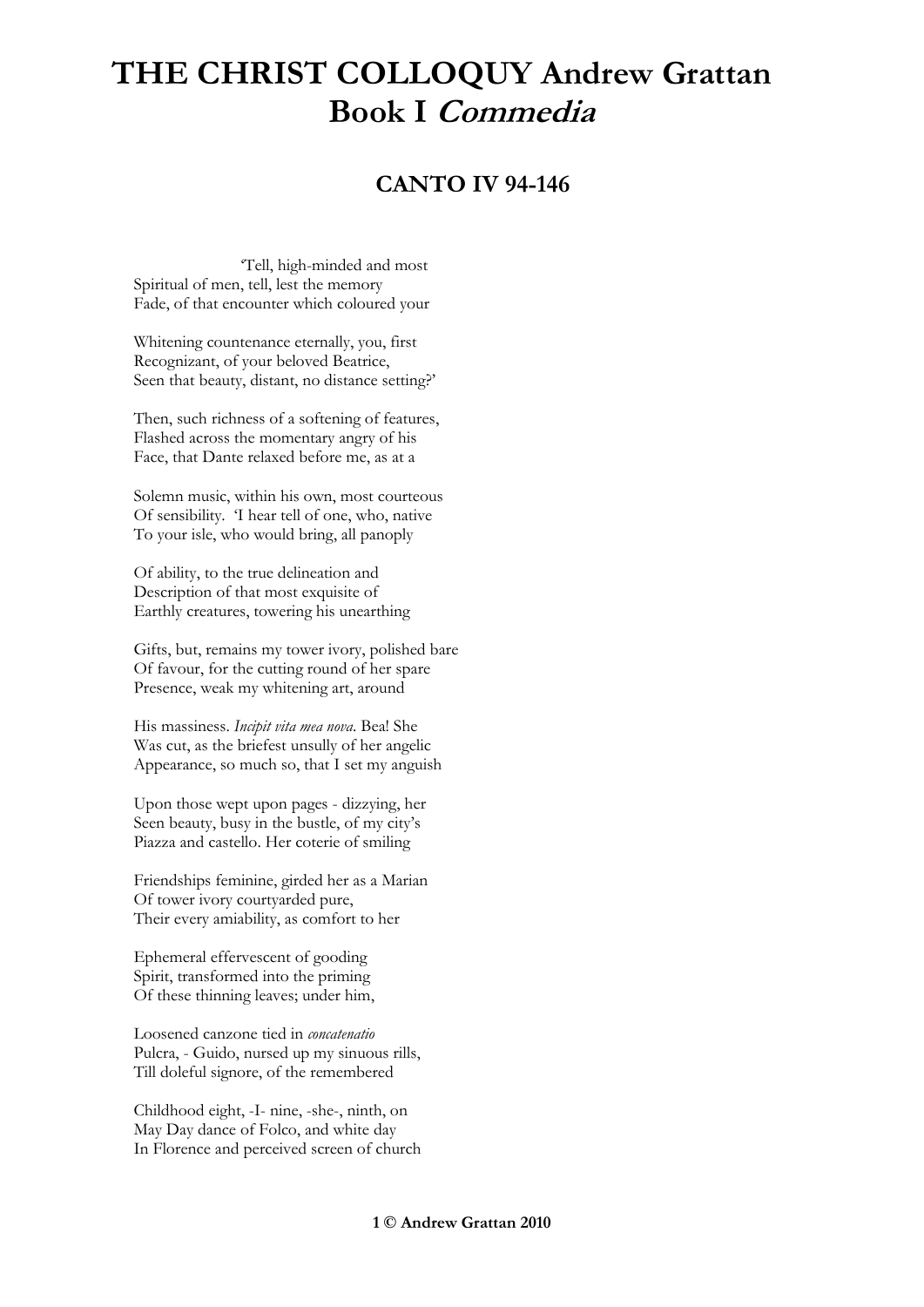## **THE CHRIST COLLOQUY Andrew Grattan Book I Commedia**

## **CANTO IV 94-146**

 'Tell, high-minded and most Spiritual of men, tell, lest the memory Fade, of that encounter which coloured your

Whitening countenance eternally, you, first Recognizant, of your beloved Beatrice, Seen that beauty, distant, no distance setting?'

Then, such richness of a softening of features, Flashed across the momentary angry of his Face, that Dante relaxed before me, as at a

Solemn music, within his own, most courteous Of sensibility. 'I hear tell of one, who, native To your isle, who would bring, all panoply

Of ability, to the true delineation and Description of that most exquisite of Earthly creatures, towering his unearthing

Gifts, but, remains my tower ivory, polished bare Of favour, for the cutting round of her spare Presence, weak my whitening art, around

His massiness. *Incipit vita mea nova*. Bea! She Was cut, as the briefest unsully of her angelic Appearance, so much so, that I set my anguish

Upon those wept upon pages - dizzying, her Seen beauty, busy in the bustle, of my city's Piazza and castello. Her coterie of smiling

Friendships feminine, girded her as a Marian Of tower ivory courtyarded pure, Their every amiability, as comfort to her

Ephemeral effervescent of gooding Spirit, transformed into the priming Of these thinning leaves; under him,

Loosened canzone tied in *concatenatio* Pulcra, - Guido, nursed up my sinuous rills, Till doleful signore, of the remembered

Childhood eight, -I- nine, -she-, ninth, on May Day dance of Folco, and white day In Florence and perceived screen of church